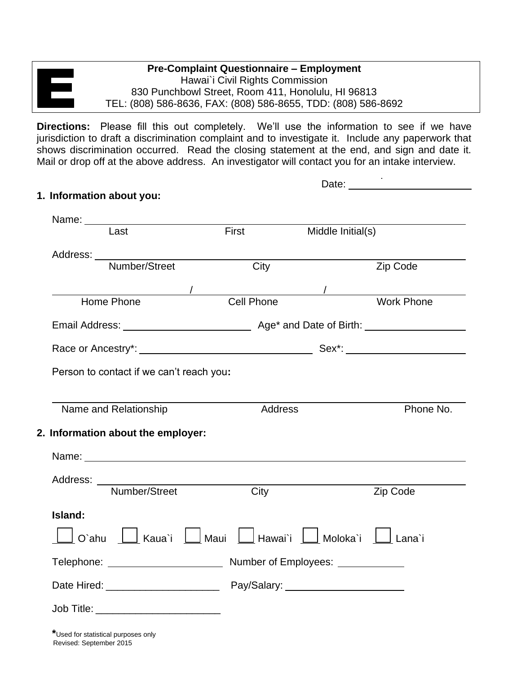## **Pre-Complaint Questionnaire – Employment** Hawai`i Civil Rights Commission 830 Punchbowl Street, Room 411, Honolulu, HI 96813 TEL: (808) 586-8636, FAX: (808) 586-8655, TDD: (808) 586-8692

**Directions:** Please fill this out completely. We'll use the information to see if we have jurisdiction to draft a discrimination complaint and to investigate it. Include any paperwork that shows discrimination occurred. Read the closing statement at the end, and sign and date it. Mail or drop off at the above address. An investigator will contact you for an intake interview.

 $\overline{a}$ .

|                                               |  |                                                                                                                                                                                                                                |                   | Date: the contract of the contract of the contract of the contract of the contract of the contract of the contract of the contract of the contract of the contract of the contract of the contract of the contract of the cont |
|-----------------------------------------------|--|--------------------------------------------------------------------------------------------------------------------------------------------------------------------------------------------------------------------------------|-------------------|--------------------------------------------------------------------------------------------------------------------------------------------------------------------------------------------------------------------------------|
| 1. Information about you:                     |  |                                                                                                                                                                                                                                |                   |                                                                                                                                                                                                                                |
| Name: <u>________________________________</u> |  |                                                                                                                                                                                                                                |                   |                                                                                                                                                                                                                                |
| Last                                          |  | First                                                                                                                                                                                                                          | Middle Initial(s) |                                                                                                                                                                                                                                |
| Address: <u>Number/Street City City</u>       |  |                                                                                                                                                                                                                                |                   |                                                                                                                                                                                                                                |
|                                               |  |                                                                                                                                                                                                                                |                   | Zip Code                                                                                                                                                                                                                       |
|                                               |  | Mome Phone Manuscription Cell Phone Manuscription Manuscription Manuscription Manuscription Manuscription Manuscription Manuscription Manuscription Manuscription Manuscription Manuscription Manuscription Manuscription Manu |                   |                                                                                                                                                                                                                                |
|                                               |  |                                                                                                                                                                                                                                |                   |                                                                                                                                                                                                                                |
|                                               |  |                                                                                                                                                                                                                                |                   |                                                                                                                                                                                                                                |
|                                               |  |                                                                                                                                                                                                                                |                   |                                                                                                                                                                                                                                |
| Person to contact if we can't reach you:      |  |                                                                                                                                                                                                                                |                   |                                                                                                                                                                                                                                |
|                                               |  |                                                                                                                                                                                                                                |                   |                                                                                                                                                                                                                                |
| Name and Relationship                         |  | Address                                                                                                                                                                                                                        |                   | Phone No.                                                                                                                                                                                                                      |
| 2. Information about the employer:            |  |                                                                                                                                                                                                                                |                   |                                                                                                                                                                                                                                |
|                                               |  | Name: 2008. 2008. 2009. 2010. 2010. 2010. 2010. 2010. 2010. 2010. 2010. 2010. 2010. 2010. 2010. 2010. 2010. 20                                                                                                                 |                   |                                                                                                                                                                                                                                |
|                                               |  |                                                                                                                                                                                                                                |                   |                                                                                                                                                                                                                                |
|                                               |  | Address: Number/Street City                                                                                                                                                                                                    |                   | Zip Code                                                                                                                                                                                                                       |
| Island:                                       |  |                                                                                                                                                                                                                                |                   |                                                                                                                                                                                                                                |
|                                               |  |                                                                                                                                                                                                                                |                   |                                                                                                                                                                                                                                |
|                                               |  |                                                                                                                                                                                                                                |                   |                                                                                                                                                                                                                                |
|                                               |  |                                                                                                                                                                                                                                |                   |                                                                                                                                                                                                                                |
|                                               |  |                                                                                                                                                                                                                                |                   |                                                                                                                                                                                                                                |

**\***Used for statistical purposes only Revised: September 2015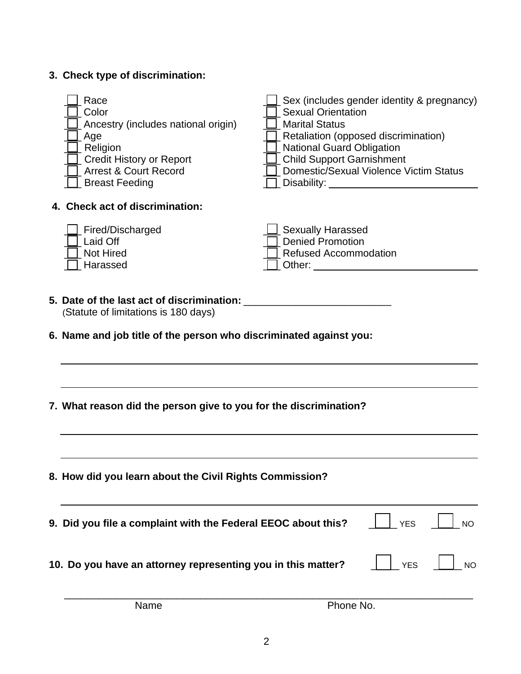| 3. Check type of discrimination: |
|----------------------------------|
|----------------------------------|

| Race<br>Color<br>Ancestry (includes national origin)<br>Age<br>Religion<br><b>Credit History or Report</b><br><b>Arrest &amp; Court Record</b><br><b>Breast Feeding</b> | <b>Sexual Orientation</b><br><b>Marital Status</b><br><b>National Guard Obligation</b><br><b>Child Support Garnishment</b> | Sex (includes gender identity & pregnancy)<br>Retaliation (opposed discrimination)<br><b>Domestic/Sexual Violence Victim Status</b> |           |
|-------------------------------------------------------------------------------------------------------------------------------------------------------------------------|----------------------------------------------------------------------------------------------------------------------------|-------------------------------------------------------------------------------------------------------------------------------------|-----------|
| 4. Check act of discrimination:                                                                                                                                         |                                                                                                                            |                                                                                                                                     |           |
| Fired/Discharged<br>Laid Off<br><b>Not Hired</b><br>Harassed                                                                                                            | <b>Sexually Harassed</b><br><b>Denied Promotion</b><br><b>Refused Accommodation</b>                                        |                                                                                                                                     |           |
| 5. Date of the last act of discrimination: _<br>(Statute of limitations is 180 days)                                                                                    |                                                                                                                            |                                                                                                                                     |           |
| 6. Name and job title of the person who discriminated against you:                                                                                                      |                                                                                                                            |                                                                                                                                     |           |
|                                                                                                                                                                         |                                                                                                                            |                                                                                                                                     |           |
| 7. What reason did the person give to you for the discrimination?                                                                                                       |                                                                                                                            |                                                                                                                                     |           |
| 8. How did you learn about the Civil Rights Commission?                                                                                                                 |                                                                                                                            |                                                                                                                                     |           |
| 9. Did you file a complaint with the Federal EEOC about this?                                                                                                           |                                                                                                                            | <b>YES</b>                                                                                                                          | <b>NO</b> |
| 10. Do you have an attorney representing you in this matter?                                                                                                            |                                                                                                                            | <b>YES</b>                                                                                                                          | <b>NO</b> |
| Name                                                                                                                                                                    | Phone No.                                                                                                                  |                                                                                                                                     |           |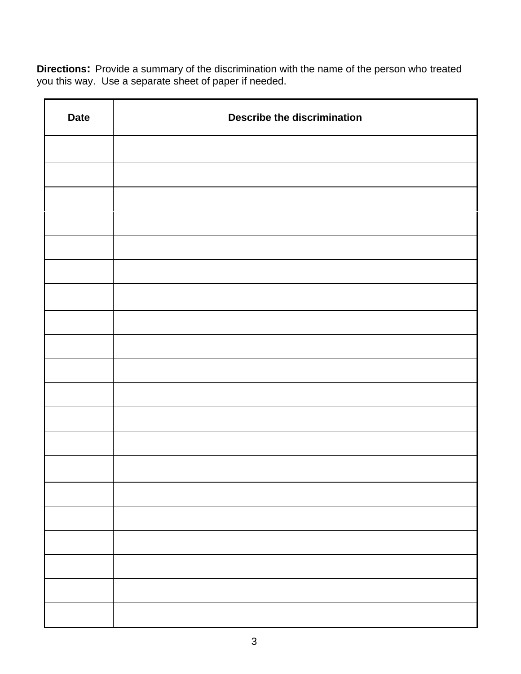**Directions:** Provide a summary of the discrimination with the name of the person who treated you this way. Use a separate sheet of paper if needed.

| <b>Date</b> | <b>Describe the discrimination</b> |
|-------------|------------------------------------|
|             |                                    |
|             |                                    |
|             |                                    |
|             |                                    |
|             |                                    |
|             |                                    |
|             |                                    |
|             |                                    |
|             |                                    |
|             |                                    |
|             |                                    |
|             |                                    |
|             |                                    |
|             |                                    |
|             |                                    |
|             |                                    |
|             |                                    |
|             |                                    |
|             |                                    |
|             |                                    |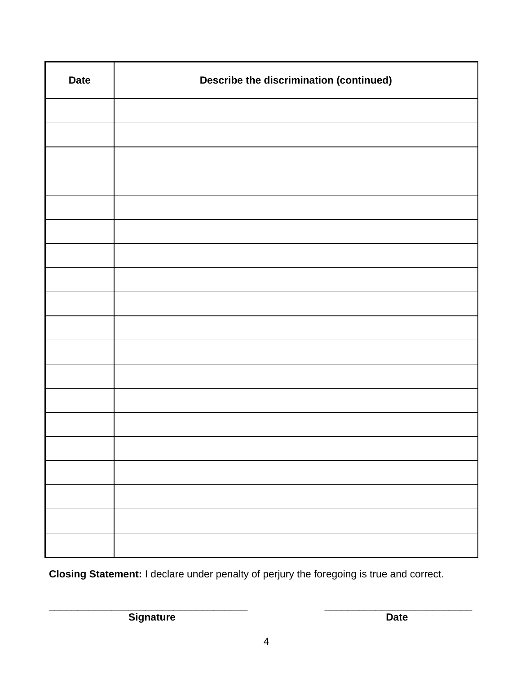| <b>Date</b> | <b>Describe the discrimination (continued)</b> |
|-------------|------------------------------------------------|
|             |                                                |
|             |                                                |
|             |                                                |
|             |                                                |
|             |                                                |
|             |                                                |
|             |                                                |
|             |                                                |
|             |                                                |
|             |                                                |
|             |                                                |
|             |                                                |
|             |                                                |
|             |                                                |
|             |                                                |
|             |                                                |
|             |                                                |
|             |                                                |
|             |                                                |

**Closing Statement:** I declare under penalty of perjury the foregoing is true and correct.

**Signature Date** 

 $\overline{\phantom{a}}$  , and the contribution of the contribution of the contribution of the contribution of the contribution of the contribution of the contribution of the contribution of the contribution of the contribution of the